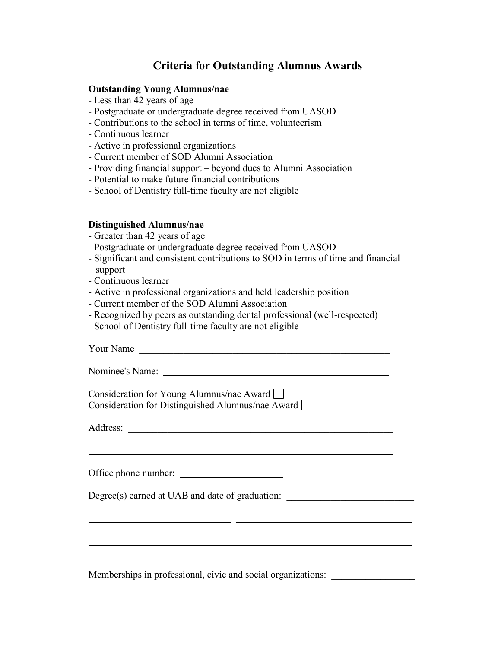## **Criteria for Outstanding Alumnus Awards**

## **Outstanding Young Alumnus/nae**

- Less than 42 years of age
- Postgraduate or undergraduate degree received from UASOD
- Contributions to the school in terms of time, volunteerism
- Continuous learner
- Active in professional organizations
- Current member of SOD Alumni Association
- Providing financial support beyond dues to Alumni Association
- Potential to make future financial contributions
- School of Dentistry full-time faculty are not eligible

## **Distinguished Alumnus/nae**

- Greater than 42 years of age
- Postgraduate or undergraduate degree received from UASOD
- Significant and consistent contributions to SOD in terms of time and financial support
- Continuous learner
- Active in professional organizations and held leadership position
- Current member of the SOD Alumni Association
- Recognized by peers as outstanding dental professional (well-respected)
- School of Dentistry full-time faculty are not eligible

| Your Name                                                                                             |  |
|-------------------------------------------------------------------------------------------------------|--|
|                                                                                                       |  |
| Consideration for Young Alumnus/nae Award<br>Consideration for Distinguished Alumnus/nae Award $\Box$ |  |
|                                                                                                       |  |
|                                                                                                       |  |
| Office phone number:                                                                                  |  |
| Degree(s) earned at UAB and date of graduation:                                                       |  |
|                                                                                                       |  |
|                                                                                                       |  |
|                                                                                                       |  |

Memberships in professional, civic and social organizations: \_\_\_\_\_\_\_\_\_\_\_\_\_\_\_\_\_\_\_